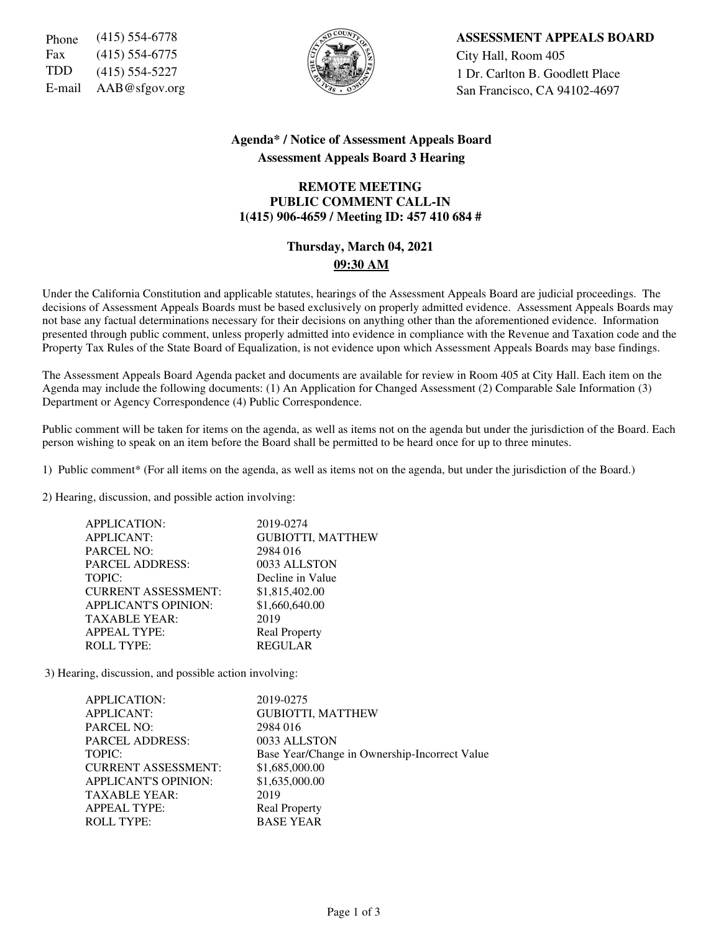Fax (415) 554-6775  $\left|\frac{5}{6}\right|$   $\left|\frac{1}{6}\right|$   $\left|\frac{1}{2}\right|$  City Hall, Room 405



Phone (415) 554-6778 **ASSESSMENT APPEALS BOARD** TDD (415) 554-5227  $\left\{\begin{matrix} \sqrt{2} \\ \sqrt{2} \end{matrix}\right\}$  1 Dr. Carlton B. Goodlett Place E-mail  $AAB@sfgov.org$  San Francisco, CA 94102-4697

### **Agenda\* / Notice of Assessment Appeals Board Assessment Appeals Board 3 Hearing**

### **REMOTE MEETING PUBLIC COMMENT CALL-IN 1(415) 906-4659 / Meeting ID: 457 410 684 #**

## **Thursday, March 04, 2021 09:30 AM**

Under the California Constitution and applicable statutes, hearings of the Assessment Appeals Board are judicial proceedings. The decisions of Assessment Appeals Boards must be based exclusively on properly admitted evidence. Assessment Appeals Boards may not base any factual determinations necessary for their decisions on anything other than the aforementioned evidence. Information presented through public comment, unless properly admitted into evidence in compliance with the Revenue and Taxation code and the Property Tax Rules of the State Board of Equalization, is not evidence upon which Assessment Appeals Boards may base findings.

The Assessment Appeals Board Agenda packet and documents are available for review in Room 405 at City Hall. Each item on the Agenda may include the following documents: (1) An Application for Changed Assessment (2) Comparable Sale Information (3) Department or Agency Correspondence (4) Public Correspondence.

Public comment will be taken for items on the agenda, as well as items not on the agenda but under the jurisdiction of the Board. Each person wishing to speak on an item before the Board shall be permitted to be heard once for up to three minutes.

1) Public comment\* (For all items on the agenda, as well as items not on the agenda, but under the jurisdiction of the Board.)

2) Hearing, discussion, and possible action involving:

| APPLICATION:                | 2019-0274                |
|-----------------------------|--------------------------|
| <b>APPLICANT:</b>           | <b>GUBIOTTI, MATTHEW</b> |
| <b>PARCEL NO:</b>           | 2984 016                 |
| <b>PARCEL ADDRESS:</b>      | 0033 ALLSTON             |
| TOPIC:                      | Decline in Value         |
| <b>CURRENT ASSESSMENT:</b>  | \$1,815,402.00           |
| <b>APPLICANT'S OPINION:</b> | \$1,660,640.00           |
| <b>TAXABLE YEAR:</b>        | 2019                     |
| <b>APPEAL TYPE:</b>         | <b>Real Property</b>     |
| <b>ROLL TYPE:</b>           | <b>REGULAR</b>           |

3) Hearing, discussion, and possible action involving:

| APPLICATION:                | 2019-0275                                     |
|-----------------------------|-----------------------------------------------|
| <b>APPLICANT:</b>           | <b>GUBIOTTI, MATTHEW</b>                      |
| <b>PARCEL NO:</b>           | 2984 016                                      |
| <b>PARCEL ADDRESS:</b>      | 0033 ALLSTON                                  |
| TOPIC:                      | Base Year/Change in Ownership-Incorrect Value |
| <b>CURRENT ASSESSMENT:</b>  | \$1,685,000.00                                |
| <b>APPLICANT'S OPINION:</b> | \$1,635,000.00                                |
| <b>TAXABLE YEAR:</b>        | 2019                                          |
| <b>APPEAL TYPE:</b>         | <b>Real Property</b>                          |
| <b>ROLL TYPE:</b>           | <b>BASE YEAR</b>                              |
|                             |                                               |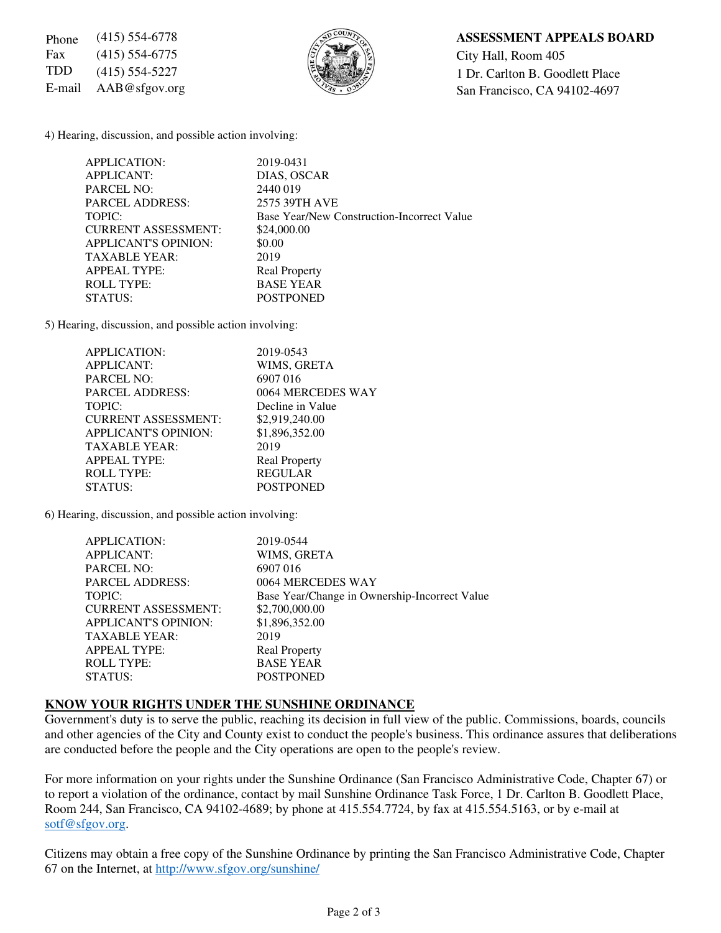Fax (415) 554-6775  $\left|\frac{5}{6}\right|$   $\left|\frac{1}{6}\right|$   $\left|\frac{1}{2}\right|$  City Hall, Room 405



## Phone (415) 554-6778 **ASSESSMENT APPEALS BOARD**

TDD (415) 554-5227  $\left\{\begin{matrix} 1 & 0 \\ 0 & 1 \end{matrix}\right\}$  1 Dr. Carlton B. Goodlett Place E-mail AAB@sfgov.org San Francisco, CA 94102-4697

4) Hearing, discussion, and possible action involving:

| APPLICATION:        |                             | 2019-0431                                  |
|---------------------|-----------------------------|--------------------------------------------|
| APPLICANT:          |                             | DIAS, OSCAR                                |
| <b>PARCEL NO:</b>   |                             | 2440019                                    |
|                     | <b>PARCEL ADDRESS:</b>      | 2575 39TH AVE                              |
| TOPIC:              |                             | Base Year/New Construction-Incorrect Value |
|                     | <b>CURRENT ASSESSMENT:</b>  | \$24,000.00                                |
|                     | <b>APPLICANT'S OPINION:</b> | \$0.00                                     |
|                     | <b>TAXABLE YEAR:</b>        | 2019                                       |
| <b>APPEAL TYPE:</b> |                             | <b>Real Property</b>                       |
| <b>ROLL TYPE:</b>   |                             | <b>BASE YEAR</b>                           |
| STATUS:             |                             | <b>POSTPONED</b>                           |

5) Hearing, discussion, and possible action involving:

| APPLICATION:                | 2019-0543            |
|-----------------------------|----------------------|
| <b>APPLICANT:</b>           | WIMS, GRETA          |
| <b>PARCEL NO:</b>           | 6907 016             |
| <b>PARCEL ADDRESS:</b>      | 0064 MERCEDES WAY    |
| TOPIC:                      | Decline in Value     |
| <b>CURRENT ASSESSMENT:</b>  | \$2,919,240.00       |
| <b>APPLICANT'S OPINION:</b> | \$1,896,352.00       |
| <b>TAXABLE YEAR:</b>        | 2019                 |
| <b>APPEAL TYPE:</b>         | <b>Real Property</b> |
| <b>ROLL TYPE:</b>           | <b>REGULAR</b>       |
| STATUS:                     | <b>POSTPONED</b>     |

6) Hearing, discussion, and possible action involving:

| <b>APPLICATION:</b>         | 2019-0544                                     |
|-----------------------------|-----------------------------------------------|
| <b>APPLICANT:</b>           | WIMS, GRETA                                   |
| <b>PARCEL NO:</b>           | 6907016                                       |
| <b>PARCEL ADDRESS:</b>      | 0064 MERCEDES WAY                             |
| TOPIC:                      | Base Year/Change in Ownership-Incorrect Value |
| <b>CURRENT ASSESSMENT:</b>  | \$2,700,000.00                                |
| <b>APPLICANT'S OPINION:</b> | \$1,896,352.00                                |
| <b>TAXABLE YEAR:</b>        | 2019                                          |
| <b>APPEAL TYPE:</b>         | <b>Real Property</b>                          |
| <b>ROLL TYPE:</b>           | <b>BASE YEAR</b>                              |
| STATUS:                     | <b>POSTPONED</b>                              |
|                             |                                               |

# **KNOW YOUR RIGHTS UNDER THE SUNSHINE ORDINANCE**

Government's duty is to serve the public, reaching its decision in full view of the public. Commissions, boards, councils and other agencies of the City and County exist to conduct the people's business. This ordinance assures that deliberations are conducted before the people and the City operations are open to the people's review.

For more information on your rights under the Sunshine Ordinance (San Francisco Administrative Code, Chapter 67) or to report a violation of the ordinance, contact by mail Sunshine Ordinance Task Force, 1 Dr. Carlton B. Goodlett Place, Room 244, San Francisco, CA 94102-4689; by phone at 415.554.7724, by fax at 415.554.5163, or by e-mail at sotf@sfgov.org.

Citizens may obtain a free copy of the Sunshine Ordinance by printing the San Francisco Administrative Code, Chapter 67 on the Internet, at http://www.sfgov.org/sunshine/